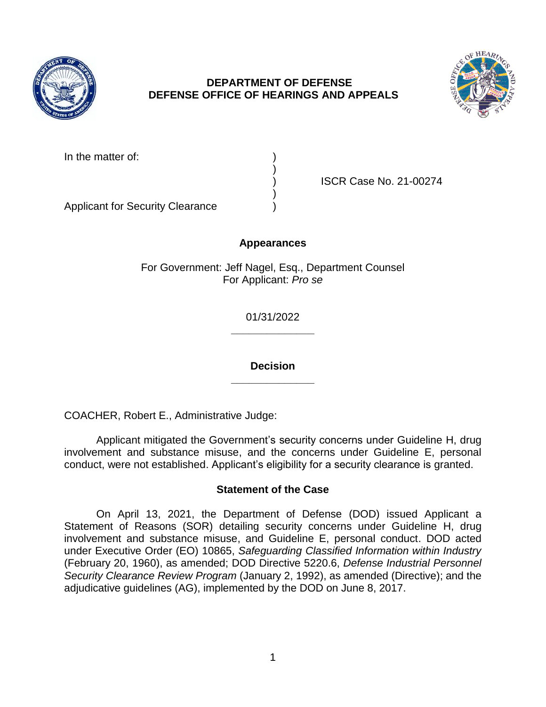

## **DEPARTMENT OF DEFENSE DEFENSE OFFICE OF HEARINGS AND APPEALS**



In the matter of:

) ISCR Case No. 21-00274

Applicant for Security Clearance )

## **Appearances**

)

)

For Government: Jeff Nagel, Esq., Department Counsel For Applicant: *Pro se* 

> **\_\_\_\_\_\_\_\_\_\_\_\_\_\_**  01/31/2022

> **\_\_\_\_\_\_\_\_\_\_\_\_\_\_ Decision**

COACHER, Robert E., Administrative Judge:

 Applicant mitigated the Government's security concerns under Guideline H, drug involvement and substance misuse, and the concerns under Guideline E, personal conduct, were not established. Applicant's eligibility for a security clearance is granted.

### **Statement of the Case**

 On April 13, 2021, the Department of Defense (DOD) issued Applicant a involvement and substance misuse, and Guideline E, personal conduct. DOD acted  under Executive Order (EO) 10865, *Safeguarding Classified Information within Industry*  Statement of Reasons (SOR) detailing security concerns under Guideline H, drug (February 20, 1960), as amended; DOD Directive 5220.6, *Defense Industrial Personnel Security Clearance Review Program* (January 2, 1992), as amended (Directive); and the adjudicative guidelines (AG), implemented by the DOD on June 8, 2017.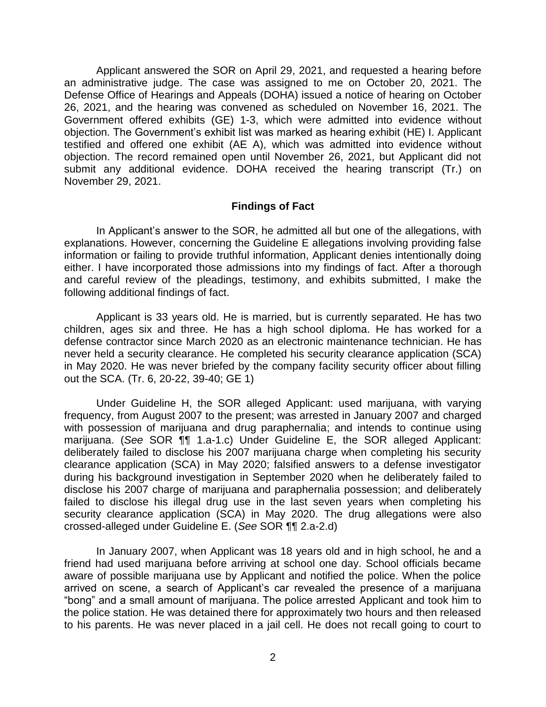Applicant answered the SOR on April 29, 2021, and requested a hearing before an administrative judge. The case was assigned to me on October 20, 2021. The Defense Office of Hearings and Appeals (DOHA) issued a notice of hearing on October 26, 2021, and the hearing was convened as scheduled on November 16, 2021. The Government offered exhibits (GE) 1-3, which were admitted into evidence without objection. The Government's exhibit list was marked as hearing exhibit (HE) I. Applicant testified and offered one exhibit (AE A), which was admitted into evidence without objection. The record remained open until November 26, 2021, but Applicant did not submit any additional evidence. DOHA received the hearing transcript (Tr.) on November 29, 2021.

#### **Findings of Fact**

 explanations. However, concerning the Guideline E allegations involving providing false information or failing to provide truthful information, Applicant denies intentionally doing either. I have incorporated those admissions into my findings of fact. After a thorough and careful review of the pleadings, testimony, and exhibits submitted, I make the In Applicant's answer to the SOR, he admitted all but one of the allegations, with following additional findings of fact.

 children, ages six and three. He has a high school diploma. He has worked for a defense contractor since March 2020 as an electronic maintenance technician. He has never held a security clearance. He completed his security clearance application (SCA) in May 2020. He was never briefed by the company facility security officer about filling Applicant is 33 years old. He is married, but is currently separated. He has two out the SCA. (Tr. 6, 20-22, 39-40; GE 1)

 Under Guideline H, the SOR alleged Applicant: used marijuana, with varying frequency, from August 2007 to the present; was arrested in January 2007 and charged with possession of marijuana and drug paraphernalia; and intends to continue using marijuana. (*See* SOR ¶¶ 1.a-1.c) Under Guideline E, the SOR alleged Applicant: deliberately failed to disclose his 2007 marijuana charge when completing his security clearance application (SCA) in May 2020; falsified answers to a defense investigator during his background investigation in September 2020 when he deliberately failed to disclose his 2007 charge of marijuana and paraphernalia possession; and deliberately failed to disclose his illegal drug use in the last seven years when completing his security clearance application (SCA) in May 2020. The drug allegations were also crossed-alleged under Guideline E. (*See* SOR ¶¶ 2.a-2.d)

 In January 2007, when Applicant was 18 years old and in high school, he and a friend had used marijuana before arriving at school one day. School officials became aware of possible marijuana use by Applicant and notified the police. When the police arrived on scene, a search of Applicant's car revealed the presence of a marijuana "bong" and a small amount of marijuana. The police arrested Applicant and took him to the police station. He was detained there for approximately two hours and then released to his parents. He was never placed in a jail cell. He does not recall going to court to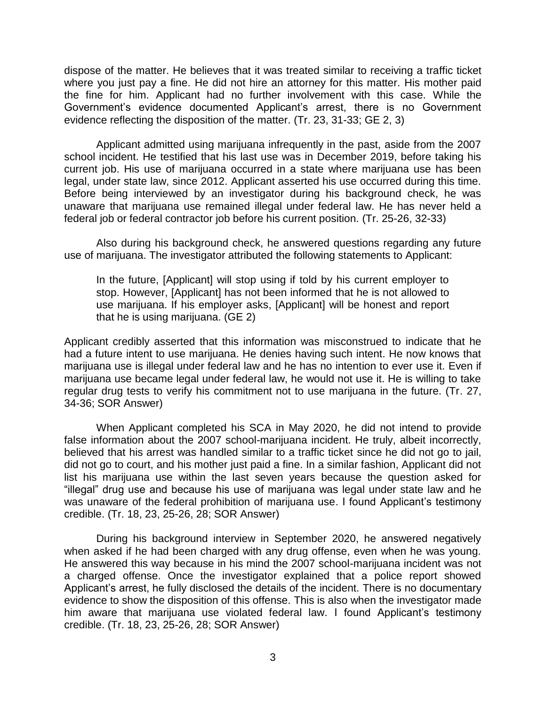dispose of the matter. He believes that it was treated similar to receiving a traffic ticket where you just pay a fine. He did not hire an attorney for this matter. His mother paid the fine for him. Applicant had no further involvement with this case. While the Government's evidence documented Applicant's arrest, there is no Government evidence reflecting the disposition of the matter. (Tr. 23, 31-33; GE 2, 3)

 Applicant admitted using marijuana infrequently in the past, aside from the 2007 school incident. He testified that his last use was in December 2019, before taking his current job. His use of marijuana occurred in a state where marijuana use has been legal, under state law, since 2012. Applicant asserted his use occurred during this time. Before being interviewed by an investigator during his background check, he was unaware that marijuana use remained illegal under federal law. He has never held a federal job or federal contractor job before his current position. (Tr. 25-26, 32-33)

 Also during his background check, he answered questions regarding any future use of marijuana. The investigator attributed the following statements to Applicant:

 In the future, [Applicant] will stop using if told by his current employer to stop. However, [Applicant] has not been informed that he is not allowed to use marijuana. If his employer asks, [Applicant] will be honest and report that he is using marijuana. (GE 2)

 Applicant credibly asserted that this information was misconstrued to indicate that he had a future intent to use marijuana. He denies having such intent. He now knows that marijuana use is illegal under federal law and he has no intention to ever use it. Even if marijuana use became legal under federal law, he would not use it. He is willing to take regular drug tests to verify his commitment not to use marijuana in the future. (Tr. 27, 34-36; SOR Answer)

 When Applicant completed his SCA in May 2020, he did not intend to provide false information about the 2007 school-marijuana incident. He truly, albeit incorrectly, believed that his arrest was handled similar to a traffic ticket since he did not go to jail, did not go to court, and his mother just paid a fine. In a similar fashion, Applicant did not list his marijuana use within the last seven years because the question asked for "illegal" drug use and because his use of marijuana was legal under state law and he was unaware of the federal prohibition of marijuana use. I found Applicant's testimony credible. (Tr. 18, 23, 25-26, 28; SOR Answer)

 During his background interview in September 2020, he answered negatively when asked if he had been charged with any drug offense, even when he was young. He answered this way because in his mind the 2007 school-marijuana incident was not a charged offense. Once the investigator explained that a police report showed Applicant's arrest, he fully disclosed the details of the incident. There is no documentary evidence to show the disposition of this offense. This is also when the investigator made him aware that marijuana use violated federal law. I found Applicant's testimony credible. (Tr. 18, 23, 25-26, 28; SOR Answer)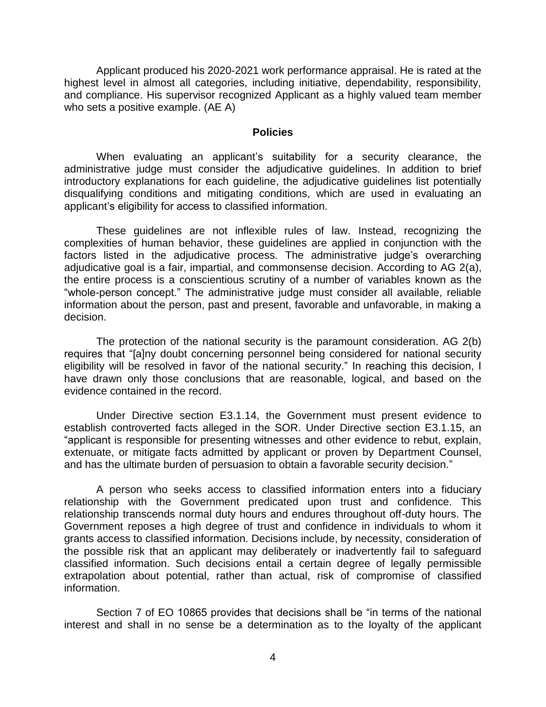and compliance. His supervisor recognized Applicant as a highly valued team member Applicant produced his 2020-2021 work performance appraisal. He is rated at the highest level in almost all categories, including initiative, dependability, responsibility, who sets a positive example. (AE A)

#### **Policies**

 When evaluating an applicant's suitability for a security clearance, the administrative judge must consider the adjudicative guidelines. In addition to brief introductory explanations for each guideline, the adjudicative guidelines list potentially disqualifying conditions and mitigating conditions, which are used in evaluating an applicant's eligibility for access to classified information.

 These guidelines are not inflexible rules of law. Instead, recognizing the complexities of human behavior, these guidelines are applied in conjunction with the factors listed in the adjudicative process. The administrative judge's overarching adjudicative goal is a fair, impartial, and commonsense decision. According to AG 2(a), the entire process is a conscientious scrutiny of a number of variables known as the "whole-person concept." The administrative judge must consider all available, reliable information about the person, past and present, favorable and unfavorable, in making a decision.

 The protection of the national security is the paramount consideration. AG 2(b) eligibility will be resolved in favor of the national security." In reaching this decision, I have drawn only those conclusions that are reasonable, logical, and based on the requires that "[a]ny doubt concerning personnel being considered for national security evidence contained in the record.

 Under Directive section E3.1.14, the Government must present evidence to "applicant is responsible for presenting witnesses and other evidence to rebut, explain, extenuate, or mitigate facts admitted by applicant or proven by Department Counsel, and has the ultimate burden of persuasion to obtain a favorable security decision." establish controverted facts alleged in the SOR. Under Directive section E3.1.15, an

 A person who seeks access to classified information enters into a fiduciary relationship with the Government predicated upon trust and confidence. This relationship transcends normal duty hours and endures throughout off-duty hours. The Government reposes a high degree of trust and confidence in individuals to whom it grants access to classified information. Decisions include, by necessity, consideration of the possible risk that an applicant may deliberately or inadvertently fail to safeguard classified information. Such decisions entail a certain degree of legally permissible extrapolation about potential, rather than actual, risk of compromise of classified information.

 Section 7 of EO 10865 provides that decisions shall be "in terms of the national interest and shall in no sense be a determination as to the loyalty of the applicant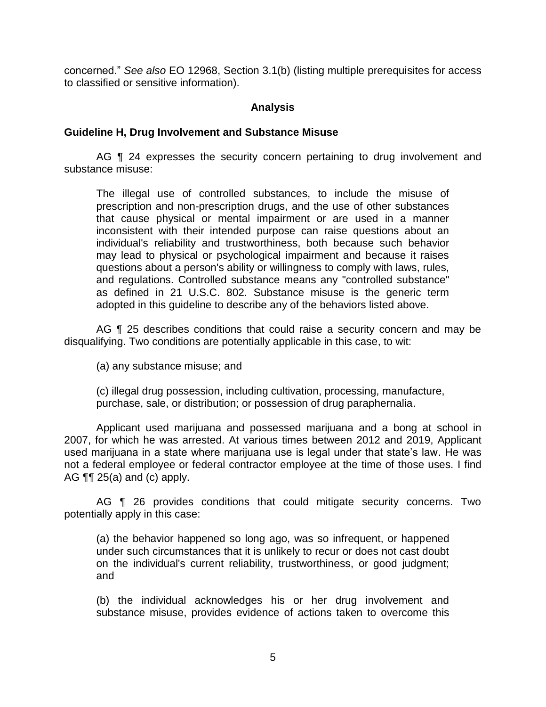concerned." *See also* EO 12968, Section 3.1(b) (listing multiple prerequisites for access to classified or sensitive information).

### **Analysis**

### **Guideline H, Drug Involvement and Substance Misuse**

AG ¶ 24 expresses the security concern pertaining to drug involvement and substance misuse:

 The illegal use of controlled substances, to include the misuse of prescription and non-prescription drugs, and the use of other substances that cause physical or mental impairment or are used in a manner inconsistent with their intended purpose can raise questions about an individual's reliability and trustworthiness, both because such behavior may lead to physical or psychological impairment and because it raises questions about a person's ability or willingness to comply with laws, rules, and regulations. Controlled substance means any "controlled substance" as defined in 21 U.S.C. 802. Substance misuse is the generic term adopted in this guideline to describe any of the behaviors listed above.

AG ¶ 25 describes conditions that could raise a security concern and may be disqualifying. Two conditions are potentially applicable in this case, to wit:

(a) any substance misuse; and

(c) illegal drug possession, including cultivation, processing, manufacture, purchase, sale, or distribution; or possession of drug paraphernalia.

 Applicant used marijuana and possessed marijuana and a bong at school in used marijuana in a state where marijuana use is legal under that state's law. He was not a federal employee or federal contractor employee at the time of those uses. I find 2007, for which he was arrested. At various times between 2012 and 2019, Applicant AG  $\P\P$  25(a) and (c) apply.

AG **[1** 26 provides conditions that could mitigate security concerns. Two potentially apply in this case:

 (a) the behavior happened so long ago, was so infrequent, or happened under such circumstances that it is unlikely to recur or does not cast doubt on the individual's current reliability, trustworthiness, or good judgment; and

 (b) the individual acknowledges his or her drug involvement and substance misuse, provides evidence of actions taken to overcome this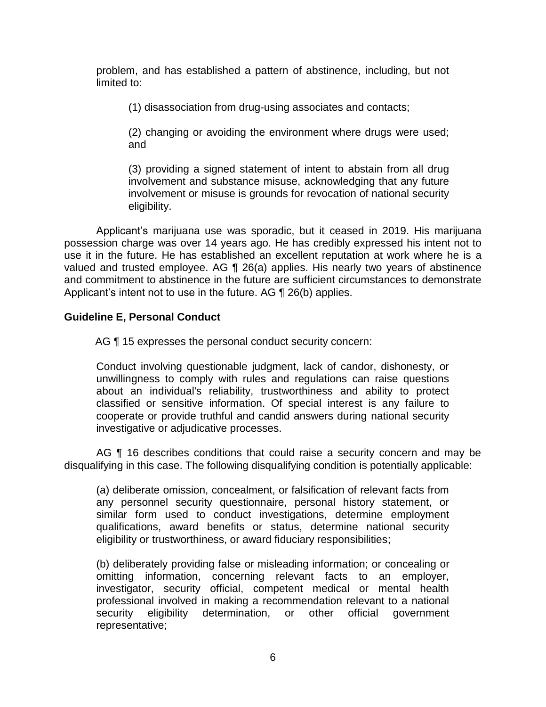problem, and has established a pattern of abstinence, including, but not limited to:

(1) disassociation from drug-using associates and contacts;

 (2) changing or avoiding the environment where drugs were used; and

 (3) providing a signed statement of intent to abstain from all drug involvement and substance misuse, acknowledging that any future involvement or misuse is grounds for revocation of national security eligibility.

 Applicant's marijuana use was sporadic, but it ceased in 2019. His marijuana possession charge was over 14 years ago. He has credibly expressed his intent not to use it in the future. He has established an excellent reputation at work where he is a valued and trusted employee. AG ¶ 26(a) applies. His nearly two years of abstinence and commitment to abstinence in the future are sufficient circumstances to demonstrate Applicant's intent not to use in the future. AG ¶ 26(b) applies.

### **Guideline E, Personal Conduct**

AG ¶ 15 expresses the personal conduct security concern:

 Conduct involving questionable judgment, lack of candor, dishonesty, or unwillingness to comply with rules and regulations can raise questions about an individual's reliability, trustworthiness and ability to protect classified or sensitive information. Of special interest is any failure to cooperate or provide truthful and candid answers during national security investigative or adjudicative processes.

AG ¶ 16 describes conditions that could raise a security concern and may be disqualifying in this case. The following disqualifying condition is potentially applicable:

 any personnel security questionnaire, personal history statement, or similar form used to conduct investigations, determine employment qualifications, award benefits or status, determine national security (a) deliberate omission, concealment, or falsification of relevant facts from eligibility or trustworthiness, or award fiduciary responsibilities;

 (b) deliberately providing false or misleading information; or concealing or omitting information, concerning relevant facts to an employer, investigator, security official, competent medical or mental health professional involved in making a recommendation relevant to a national security eligibility determination, or other official government representative;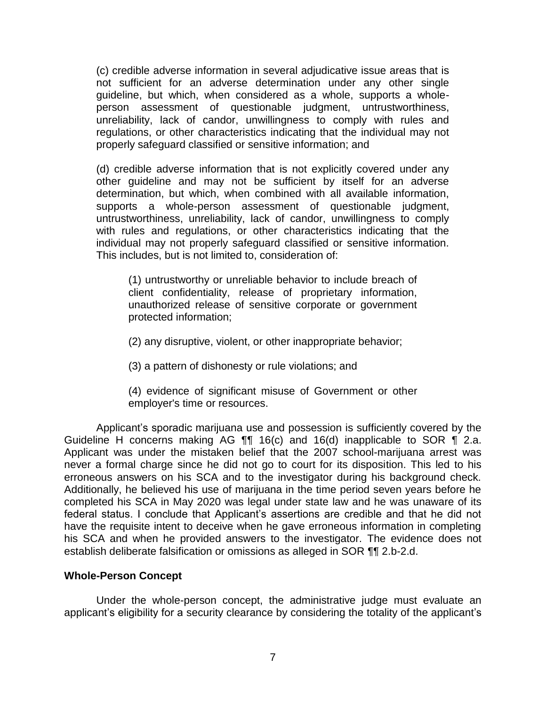(c) credible adverse information in several adjudicative issue areas that is guideline, but which, when considered as a whole, supports a whole- person assessment of questionable judgment, untrustworthiness, unreliability, lack of candor, unwillingness to comply with rules and regulations, or other characteristics indicating that the individual may not not sufficient for an adverse determination under any other single properly safeguard classified or sensitive information; and

 (d) credible adverse information that is not explicitly covered under any other guideline and may not be sufficient by itself for an adverse determination, but which, when combined with all available information, untrustworthiness, unreliability, lack of candor, unwillingness to comply with rules and regulations, or other characteristics indicating that the supports a whole-person assessment of questionable judgment, individual may not properly safeguard classified or sensitive information. This includes, but is not limited to, consideration of:

 (1) untrustworthy or unreliable behavior to include breach of client confidentiality, release of proprietary information, unauthorized release of sensitive corporate or government protected information;

(2) any disruptive, violent, or other inappropriate behavior;

(3) a pattern of dishonesty or rule violations; and

 (4) evidence of significant misuse of Government or other employer's time or resources.

 Applicant's sporadic marijuana use and possession is sufficiently covered by the Guideline H concerns making AG  $\P\P$  16(c) and 16(d) inapplicable to SOR  $\P$  2.a. Applicant was under the mistaken belief that the 2007 school-marijuana arrest was never a formal charge since he did not go to court for its disposition. This led to his erroneous answers on his SCA and to the investigator during his background check. Additionally, he believed his use of marijuana in the time period seven years before he completed his SCA in May 2020 was legal under state law and he was unaware of its federal status. I conclude that Applicant's assertions are credible and that he did not have the requisite intent to deceive when he gave erroneous information in completing his SCA and when he provided answers to the investigator. The evidence does not establish deliberate falsification or omissions as alleged in SOR ¶¶ 2.b-2.d.

### **Whole-Person Concept**

 Under the whole-person concept, the administrative judge must evaluate an applicant's eligibility for a security clearance by considering the totality of the applicant's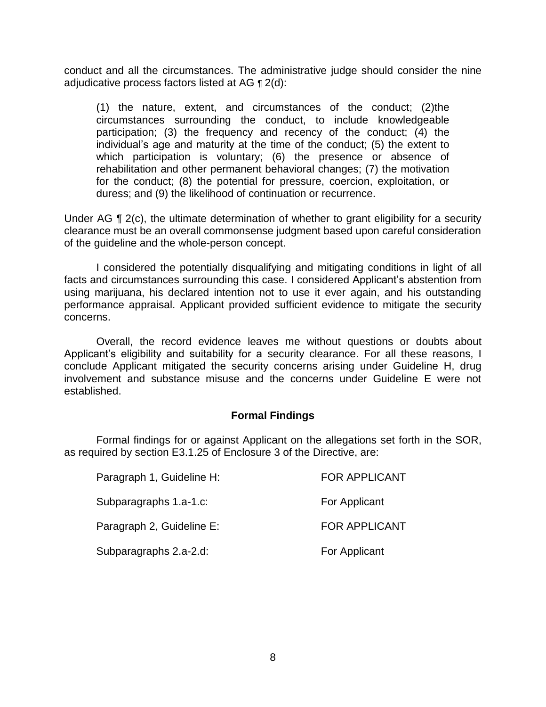conduct and all the circumstances. The administrative judge should consider the nine adjudicative process factors listed at AG ¶ 2(d):

(1) the nature, extent, and circumstances of the conduct; (2)the circumstances surrounding the conduct, to include knowledgeable participation; (3) the frequency and recency of the conduct; (4) the individual's age and maturity at the time of the conduct; (5) the extent to which participation is voluntary; (6) the presence or absence of rehabilitation and other permanent behavioral changes; (7) the motivation for the conduct; (8) the potential for pressure, coercion, exploitation, or duress; and (9) the likelihood of continuation or recurrence.

Under AG ¶ 2(c), the ultimate determination of whether to grant eligibility for a security of the guideline and the whole-person concept. clearance must be an overall commonsense judgment based upon careful consideration

 of the guideline and the whole-person concept. I considered the potentially disqualifying and mitigating conditions in light of all facts and circumstances surrounding this case. I considered Applicant's abstention from using marijuana, his declared intention not to use it ever again, and his outstanding performance appraisal. Applicant provided sufficient evidence to mitigate the security concerns.

 Applicant's eligibility and suitability for a security clearance. For all these reasons, I involvement and substance misuse and the concerns under Guideline E were not Overall, the record evidence leaves me without questions or doubts about conclude Applicant mitigated the security concerns arising under Guideline H, drug established.

#### **Formal Findings**

 as required by section E3.1.25 of Enclosure 3 of the Directive, are: Formal findings for or against Applicant on the allegations set forth in the SOR,

| Paragraph 1, Guideline H: | <b>FOR APPLICANT</b> |
|---------------------------|----------------------|
| Subparagraphs 1.a-1.c:    | For Applicant        |
| Paragraph 2, Guideline E: | <b>FOR APPLICANT</b> |
| Subparagraphs 2.a-2.d:    | For Applicant        |